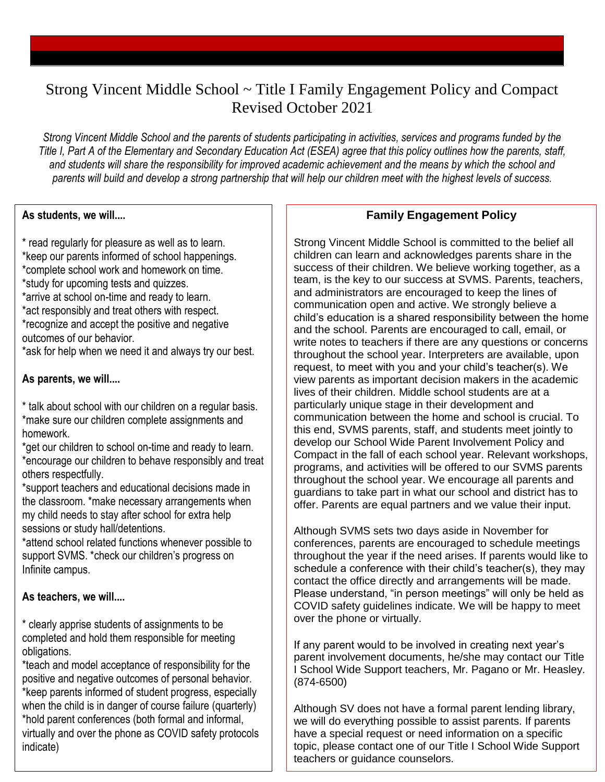# Strong Vincent Middle School ~ Title I Family Engagement Policy and Compact Revised October 2021

*Strong Vincent Middle School and the parents of students participating in activities, services and programs funded by the Title I, Part A of the Elementary and Secondary Education Act (ESEA) agree that this policy outlines how the parents, staff, and students will share the responsibility for improved academic achievement and the means by which the school and parents will build and develop a strong partnership that will help our children meet with the highest levels of success.*

#### **As students, we will....**

\* read regularly for pleasure as well as to learn. \*keep our parents informed of school happenings. \*complete school work and homework on time. \*study for upcoming tests and quizzes. \*arrive at school on-time and ready to learn. \*act responsibly and treat others with respect. \*recognize and accept the positive and negative outcomes of our behavior. \*ask for help when we need it and always try our best.

## **As parents, we will....**

\* talk about school with our children on a regular basis. \*make sure our children complete assignments and homework.

\*get our children to school on-time and ready to learn. \*encourage our children to behave responsibly and treat others respectfully.

\*support teachers and educational decisions made in the classroom. \*make necessary arrangements when my child needs to stay after school for extra help sessions or study hall/detentions.

\*attend school related functions whenever possible to support SVMS. \*check our children's progress on Infinite campus.

### **As teachers, we will....**

\* clearly apprise students of assignments to be completed and hold them responsible for meeting obligations.

\*teach and model acceptance of responsibility for the positive and negative outcomes of personal behavior. \*keep parents informed of student progress, especially when the child is in danger of course failure (quarterly) \*hold parent conferences (both formal and informal, virtually and over the phone as COVID safety protocols indicate)

# **Family Engagement Policy**

Strong Vincent Middle School is committed to the belief all children can learn and acknowledges parents share in the success of their children. We believe working together, as a team, is the key to our success at SVMS. Parents, teachers, and administrators are encouraged to keep the lines of communication open and active. We strongly believe a child's education is a shared responsibility between the home and the school. Parents are encouraged to call, email, or write notes to teachers if there are any questions or concerns throughout the school year. Interpreters are available, upon request, to meet with you and your child's teacher(s). We view parents as important decision makers in the academic lives of their children. Middle school students are at a particularly unique stage in their development and communication between the home and school is crucial. To this end, SVMS parents, staff, and students meet jointly to develop our School Wide Parent Involvement Policy and Compact in the fall of each school year. Relevant workshops, programs, and activities will be offered to our SVMS parents throughout the school year. We encourage all parents and guardians to take part in what our school and district has to offer. Parents are equal partners and we value their input.

Although SVMS sets two days aside in November for conferences, parents are encouraged to schedule meetings throughout the year if the need arises. If parents would like to schedule a conference with their child's teacher(s), they may contact the office directly and arrangements will be made. Please understand, "in person meetings" will only be held as COVID safety guidelines indicate. We will be happy to meet over the phone or virtually.

If any parent would to be involved in creating next year's parent involvement documents, he/she may contact our Title I School Wide Support teachers, Mr. Pagano or Mr. Heasley. (874-6500)

Although SV does not have a formal parent lending library, we will do everything possible to assist parents. If parents have a special request or need information on a specific topic, please contact one of our Title I School Wide Support teachers or guidance counselors.